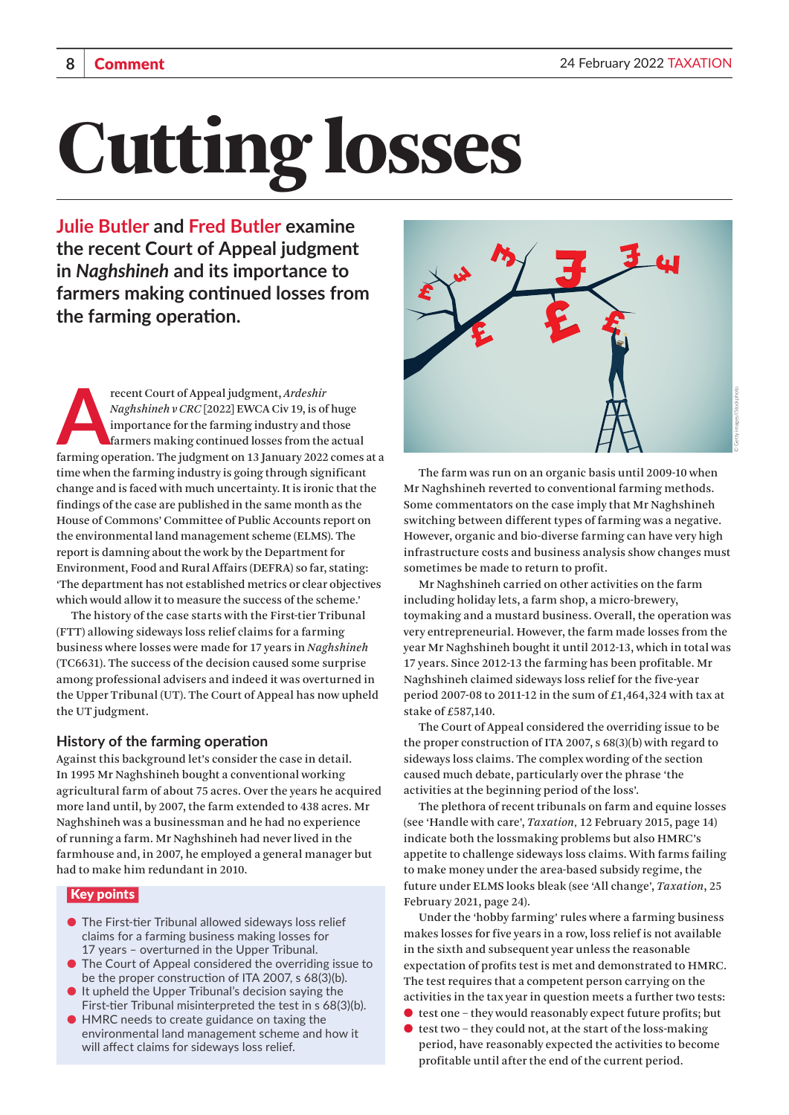# Cutting losses

**Julie Butler and Fred Butler examine the recent Court of Appeal judgment in** *Naghshineh* **and its importance to farmers making continued losses from the farming operation.**

Farming operation. The judgment, Ardeshir<br>Angles Maghshineh v CRC [2022] EWCA Civ 19, is of huge<br>importance for the farming industry and those<br>farming operation. The judgment on 13 January 2022 comes at a<br>farming operation recent Court of Appeal judgment, *Ardeshir Naghshineh v CRC* [2022] EWCA Civ 19, is of huge importance for the farming industry and those farmers making continued losses from the actual time when the farming industry is going through significant change and is faced with much uncertainty. It is ironic that the findings of the case are published in the same month as the House of Commons' Committee of Public Accounts report on the environmental land management scheme (ELMS). The report is damning about the work by the Department for Environment, Food and Rural Affairs (DEFRA) so far, stating: 'The department has not established metrics or clear objectives which would allow it to measure the success of the scheme.'

The history of the case starts with the First-tier Tribunal (FTT) allowing sideways loss relief claims for a farming business where losses were made for 17 years in *Naghshineh*  (TC6631). The success of the decision caused some surprise among professional advisers and indeed it was overturned in the Upper Tribunal (UT). The Court of Appeal has now upheld the UT judgment.

# **History of the farming operation**

Against this background let's consider the case in detail. In 1995 Mr Naghshineh bought a conventional working agricultural farm of about 75 acres. Over the years he acquired more land until, by 2007, the farm extended to 438 acres. Mr Naghshineh was a businessman and he had no experience of running a farm. Mr Naghshineh had never lived in the farmhouse and, in 2007, he employed a general manager but had to make him redundant in 2010.

# Key points

- The First-tier Tribunal allowed sideways loss relief claims for a farming business making losses for 17 years – overturned in the Upper Tribunal.
- The Court of Appeal considered the overriding issue to be the proper construction of ITA 2007, s 68(3)(b).
- It upheld the Upper Tribunal's decision saying the First-tier Tribunal misinterpreted the test in s 68(3)(b).
- HMRC needs to create guidance on taxing the environmental land management scheme and how it will affect claims for sideways loss relief.



The farm was run on an organic basis until 2009-10 when Mr Naghshineh reverted to conventional farming methods. Some commentators on the case imply that Mr Naghshineh switching between different types of farming was a negative. However, organic and bio-diverse farming can have very high infrastructure costs and business analysis show changes must sometimes be made to return to profit.

Mr Naghshineh carried on other activities on the farm including holiday lets, a farm shop, a micro-brewery, toymaking and a mustard business. Overall, the operation was very entrepreneurial. However, the farm made losses from the year Mr Naghshineh bought it until 2012-13, which in total was 17 years. Since 2012-13 the farming has been profitable. Mr Naghshineh claimed sideways loss relief for the five-year period 2007-08 to 2011-12 in the sum of  $£1,464,324$  with tax at stake of £587,140.

The Court of Appeal considered the overriding issue to be the proper construction of ITA 2007, s 68(3)(b) with regard to sideways loss claims. The complex wording of the section caused much debate, particularly over the phrase 'the activities at the beginning period of the loss'.

The plethora of recent tribunals on farm and equine losses (see 'Handle with care', *Taxation,* 12 February 2015, page 14) indicate both the lossmaking problems but also HMRC's appetite to challenge sideways loss claims. With farms failing to make money under the area-based subsidy regime, the future under ELMS looks bleak (see 'All change', *Taxation*, 25 February 2021, page 24).

Under the 'hobby farming' rules where a farming business makes losses for five years in a row, loss relief is not available in the sixth and subsequent year unless the reasonable expectation of profits test is met and demonstrated to HMRC. The test requires that a competent person carrying on the activities in the tax year in question meets a further two tests:

- $\bullet$  test one they would reasonably expect future profits; but
- $\bullet$  test two they could not, at the start of the loss-making period, have reasonably expected the activities to become profitable until after the end of the current period.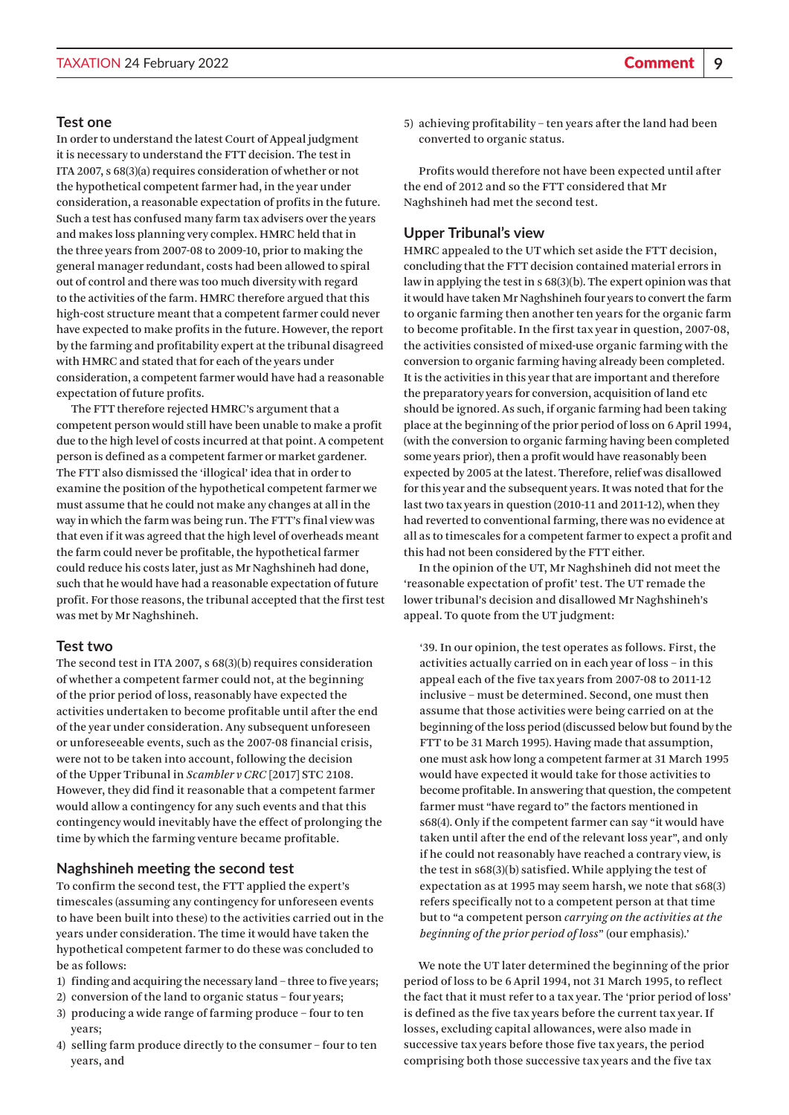### **Test one**

In order to understand the latest Court of Appeal judgment it is necessary to understand the FTT decision. The test in ITA 2007, s 68(3)(a) requires consideration of whether or not the hypothetical competent farmer had, in the year under consideration, a reasonable expectation of profits in the future. Such a test has confused many farm tax advisers over the years and makes loss planning very complex. HMRC held that in the three years from 2007-08 to 2009-10, prior to making the general manager redundant, costs had been allowed to spiral out of control and there was too much diversity with regard to the activities of the farm. HMRC therefore argued that this high-cost structure meant that a competent farmer could never have expected to make profits in the future. However, the report by the farming and profitability expert at the tribunal disagreed with HMRC and stated that for each of the years under consideration, a competent farmer would have had a reasonable expectation of future profits.

The FTT therefore rejected HMRC's argument that a competent person would still have been unable to make a profit due to the high level of costs incurred at that point. A competent person is defined as a competent farmer or market gardener. The FTT also dismissed the 'illogical' idea that in order to examine the position of the hypothetical competent farmer we must assume that he could not make any changes at all in the way in which the farm was being run. The FTT's final view was that even if it was agreed that the high level of overheads meant the farm could never be profitable, the hypothetical farmer could reduce his costs later, just as Mr Naghshineh had done, such that he would have had a reasonable expectation of future profit. For those reasons, the tribunal accepted that the first test was met by Mr Naghshineh.

## **Test two**

The second test in ITA 2007, s 68(3)(b) requires consideration of whether a competent farmer could not, at the beginning of the prior period of loss, reasonably have expected the activities undertaken to become profitable until after the end of the year under consideration. Any subsequent unforeseen or unforeseeable events, such as the 2007-08 financial crisis, were not to be taken into account, following the decision of the Upper Tribunal in *Scambler v CRC* [2017] STC 2108. However, they did find it reasonable that a competent farmer would allow a contingency for any such events and that this contingency would inevitably have the effect of prolonging the time by which the farming venture became profitable.

### **Naghshineh meeting the second test**

To confirm the second test, the FTT applied the expert's timescales (assuming any contingency for unforeseen events to have been built into these) to the activities carried out in the years under consideration. The time it would have taken the hypothetical competent farmer to do these was concluded to be as follows:

- 1) finding and acquiring the necessary land three to five years;
- 2) conversion of the land to organic status four years;
- 3) producing a wide range of farming produce four to ten years;
- 4) selling farm produce directly to the consumer four to ten years, and

5) achieving profitability – ten years after the land had been converted to organic status.

Profits would therefore not have been expected until after the end of 2012 and so the FTT considered that Mr Naghshineh had met the second test.

### **Upper Tribunal's view**

HMRC appealed to the UT which set aside the FTT decision, concluding that the FTT decision contained material errors in law in applying the test in s 68(3)(b). The expert opinion was that it would have taken Mr Naghshineh four years to convert the farm to organic farming then another ten years for the organic farm to become profitable. In the first tax year in question, 2007-08, the activities consisted of mixed-use organic farming with the conversion to organic farming having already been completed. It is the activities in this year that are important and therefore the preparatory years for conversion, acquisition of land etc should be ignored. As such, if organic farming had been taking place at the beginning of the prior period of loss on 6 April 1994, (with the conversion to organic farming having been completed some years prior), then a profit would have reasonably been expected by 2005 at the latest. Therefore, relief was disallowed for this year and the subsequent years. It was noted that for the last two tax years in question (2010-11 and 2011-12), when they had reverted to conventional farming, there was no evidence at all as to timescales for a competent farmer to expect a profit and this had not been considered by the FTT either.

In the opinion of the UT, Mr Naghshineh did not meet the 'reasonable expectation of profit' test. The UT remade the lower tribunal's decision and disallowed Mr Naghshineh's appeal. To quote from the UT judgment:

'39. In our opinion, the test operates as follows. First, the activities actually carried on in each year of loss – in this appeal each of the five tax years from 2007-08 to 2011-12 inclusive – must be determined. Second, one must then assume that those activities were being carried on at the beginning of the loss period (discussed below but found by the FTT to be 31 March 1995). Having made that assumption, one must ask how long a competent farmer at 31 March 1995 would have expected it would take for those activities to become profitable. In answering that question, the competent farmer must "have regard to" the factors mentioned in s68(4). Only if the competent farmer can say "it would have taken until after the end of the relevant loss year", and only if he could not reasonably have reached a contrary view, is the test in s68(3)(b) satisfied. While applying the test of expectation as at 1995 may seem harsh, we note that s68(3) refers specifically not to a competent person at that time but to "a competent person *carrying on the activities at the beginning of the prior period of loss*" (our emphasis).'

We note the UT later determined the beginning of the prior period of loss to be 6 April 1994, not 31 March 1995, to reflect the fact that it must refer to a tax year. The 'prior period of loss' is defined as the five tax years before the current tax year. If losses, excluding capital allowances, were also made in successive tax years before those five tax years, the period comprising both those successive tax years and the five tax